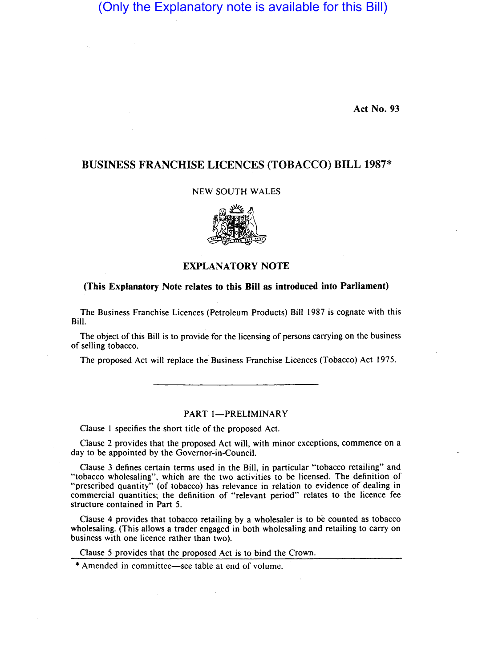# (Only the Explanatory note is available for this Bill)

Act No. 93

## BUSINESS FRANCHISE LICENCES (TOBACCO) BILL 1987\*

### NEW SOUTH WALES



## EXPLANATORY NOTE

#### (This Explanatory Note relates to this Bill as introduced into Parliament)

The Business Franchise Licences (Petroleum Products) Bill 1987 is cognate with this Bill.

The object of this Bill is to provide for the licensing of persons carrying on the business of selling tobacco.

The proposed Act will replace the Business Franchise Licences (Tobacco) Act 1975.

#### PART 1-PRELIMINARY

Clause I specifies the short title of the proposed Act.

Clause 2 provides that the proposed Act will, with minor exceptions, commence on a day to be appointed by the Governor-in-Council.

Clause 3 defines certain terms used in the Bill, in particular "tobacco retailing" and "tobacco wholesaling", which are the two activities to be licensed. The definition of "prescribed quantity" (of tobacco) has relevance in relation to evidence of dealing in commercial quantities; the definition of "relevant period" relates to the licence fee structure contained in Part 5.

Clause 4 provides that tobacco retailing by a wholesaler is to be counted as tobacco wholesaling. (This allows a trader engaged in both wholesaling and retailing to carry on business with one licence rather than two).

Clause 5 provides that the proposed Act is to bind the Crown.

\* Amended in committee-see table at end of volume.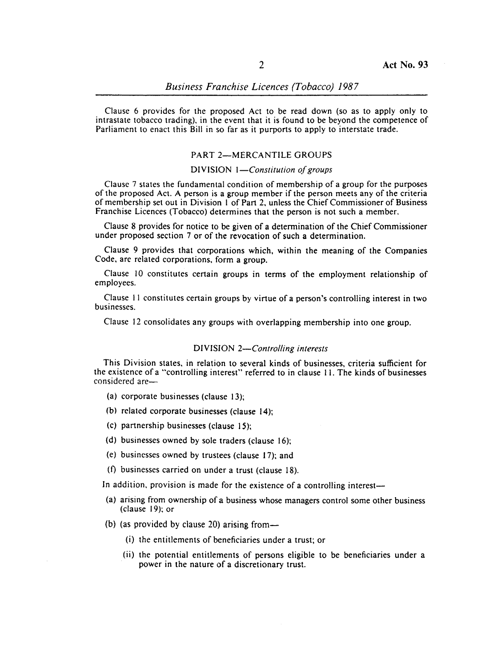Clause 6 provides for the proposed Act to be read down (so as to apply only to intrastate tobacco trading), in the event that it is found to be beyond the competence of Parliament to enact this Bill in so far as it purports to apply to interstate trade.

#### PART 2-MERCANTILE GROUPS

### DIVISION *I-Constitution of groups*

Clause 7 states the fundamental condition of membership of a group for the purposes of the proposed Act. A person is a group member if the person meets any of the criteria of membership set out in Division I of Part 2, unless the Chief Commissioner of Business Franchise Licences (Tobacco) determines that the person is not such a member.

Clause 8 provides for notice to be given of a determination of the Chief Commissioner under proposed section 7 or of the revocation of such a determination.

Clause 9 provides that corporations which, within the meaning of the Companies Code, are related corporations, form a group.

Clause 10 constitutes certain groups in terms of the employment relationship of employees.

Clause II constitutes certain groups by virtue of a person's controlling interest in two businesses.

Clause 12 consolidates any groups with overlapping membership into one group.

#### DIVISION *2-Controlling interests*

This Division states, in relation to several kinds of businesses, criteria sufficient for the existence of a "controlling interest" referred to in clause 11. The kinds of businesses considered are-

- (a) corporate businesses (clause 13);
- (b) related corporate businesses (clause 14);
- (c) partnership businesses (clause 15);
- (d) businesses owned by sole traders (clause 16);
- (e) businesses owned by trustees (clause 17); and
- (f) businesses carried on under a trust (clause 18).

In addition, provision is made for the existence of a controlling interest-

- (a) arising from ownership of a business whose managers control some other business (clause 19); or
- (b) (as provided by clause 20) arising from-
	- (i) the entitlements of beneficiaries under a trust; or
	- (ii) the potential entitlements of persons eligible to be beneficiaries under a power in the nature of a discretionary trust.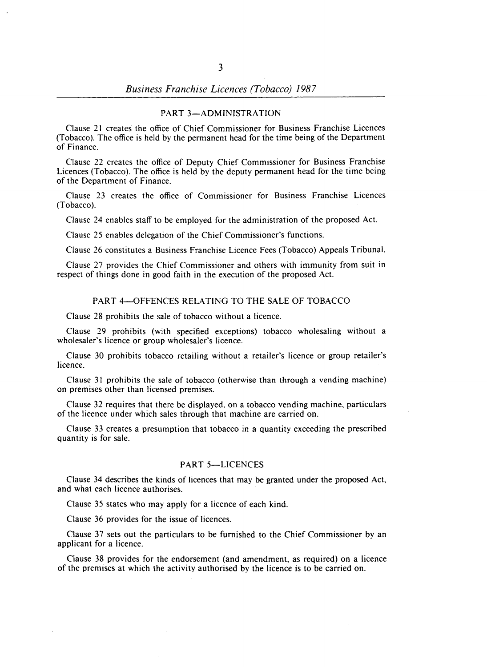#### PART 3-ADMINISTRATION

Clause 21 creates the office of Chief Commissioner for Business Franchise Licences (Tobacco). The office is held by the permanent head for the time being of the Department of Finance.

Clause 22 creates the office of Deputy Chief Commissioner for Business Franchise Licences (Tobacco). The office is held by the deputy permanent head for the time being of the Department of Finance.

Clause 23 creates the office of Commissioner for Business Franchise Licences (Tobacco).

Clause 24 enables staff to be employed for the administration of the proposed Act.

Clause 25 enables delegation of the Chief Commissioner's functions.

Clause 26 constitutes a Business Franchise Licence Fees (Tobacco) Appeals Tribunal.

Clause 27 provides the Chief Commissioner and others with immunity from suit in respect of things done in good faith in the execution of the proposed Act.

#### PART 4-OFFENCES RELATING TO THE SALE OF TOBACCO

Clause 28 prohibits the sale of tobacco without a licence.

Clause 29 prohibits (with specified exceptions) tobacco wholesaling without a wholesaler's licence or group wholesaler's licence.

Clause 30 prohibits tobacco retailing without a retailer's licence or group retailer's licence.

Clause 31 prohibits the sale of tobacco (otherwise than through a vending machine) on premises other than licensed premises.

Clause 32 requires that there be displayed, on a tobacco vending machine, particulars of the licence under which sales through that machine are carried on.

Clause 33 creates a presumption that tobacco in a quantity exceeding the prescribed quantity is for sale.

### PART 5-LICENCES

Clause 34 describes the kinds of licences that may be granted under the proposed Act, and what each licence authorises.

Clause 35 states who may apply for a licence of each kind.

Clause 36 provides for the issue of licences.

Clause 37 sets out the particulars to be furnished to the Chief Commissioner by an applicant for a licence.

Clause 38 provides for the endorsement (and amendment, as required) on a licence of the premises at which the activity authorised by the licence is to be carried on.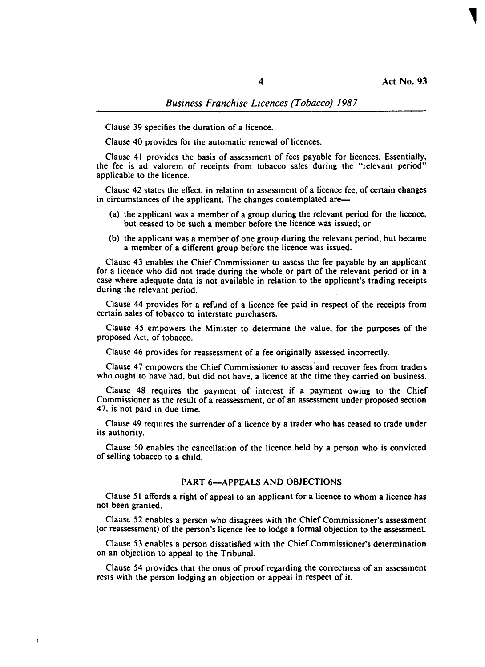Clause 39 specifies the duration of a licence.

Clause 40 provides for the automatic renewal of licences.

Clause 41 provides the basis of assessment of fees payable for licences. Essentially, the fee is ad valorem of receipts from tobacco sales during the "relevant period" applicable to the licence.

Clause 42 states the effect, in relation to assessment of a licence fee, of certain changes in circumstances of the applicant. The changes contemplated are-

- (a) the applicant was a member of a group during the relevant period for the licence, but ceased to be such a member before the licence was issued; or
- (b) the applicant was a member of one group during the relevant period, but became a member of a different group before the licence was issued.

Clause 43 enables the Chief Commissioner to assess the fee payable by an applicant for a licence who did not trade during the whole or part of the relevant period or in a case where adequate data is not available in relation to the applicant's trading receipts during the relevant period.

Clause 44 provides for a refund of a licence fee paid in respect of the receipts from certain sales of tobacco to interstate purchasers.

Clause 45 empowers the Minister to determine the value, for the purposes of the proposed Act, of tobacco.

Clause 46 provides for reassessment of a fee originally assessed incorrectly.

Clause 47 empowers the Chief Commissioner to assess 'and recover fees from traders who ought to have had, but did not have, a licence at the time they carried on business.

Clause 48 requires the payment of interest if a payment owing to the Chief Commissioner as the result of a reassessment, or of an assessment under proposed section 47, is not paid in due time.

Clause 49 requires the surrender of a. licence by a trader who has ceased to trade under its authority.

Clause 50 enables the cancellation of the licence held by a person who is convicted of selling tobacco to a child.

#### PART 6-APPEALS AND OBJECTIONS

Clause 51 affords a right of appeal to an applicant for a licence to whom a licence has not been granted.

Clause 52 enables a person who disagrees with the Chief Commissioner's assessment (or reassessment) of the person's licence fee to lodge a formal objection to the assessment.

Clause 53 enables a person dissatisfied with the Chief Commissioner's determination on an objection to appeal to the Tribunal.

Clause 54 provides that the onus of proof regarding the correctness of an assessment rests with the person lodging an objection or appeal in respect of it.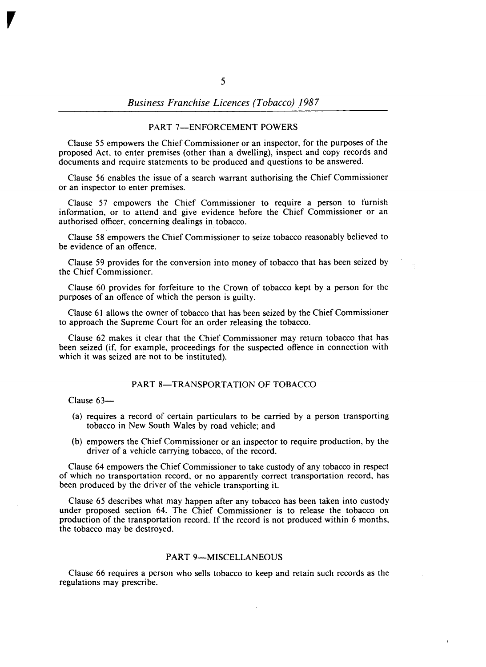#### PART 7-ENFORCEMENT POWERS

Clause 55 empowers the Chief Commissioner or an inspector, for the purposes of the proposed Act, to enter premises (other than a dwelling), inspect and copy records and documents and require statements to be produced and questions to be answered.

Clause 56 enables the issue of a search warrant authorising the Chief Commissioner or an inspector to enter premises.

Clause 57 empowers the Chief Commissioner to require a person to furnish information, or to attend and give evidence before the Chief Commissioner or an authorised officer, concerning dealings in tobacco.

Clause 58 empowers the Chief Commissioner to seize tobacco reasonably believed to be evidence of an offence.

Clause 59 provides for the conversion into money of tobacco that has been seized by the Chief Commissioner.

Clause 60 provides for forfeiture to the Crown of tobacco kept by a person for the purposes of an offence of which the person is guilty.

Clause 61 allows the owner of tobacco that has been seized by the Chief Commissioner to approach the Supreme Court for an order releasing the tobacco.

Clause 62 makes it clear that the Chief Commissioner may return tobacco that has been seized (if, for example, proceedings for the suspected offence in connection with which it was seized are not to be instituted).

#### PART 8-TRANSPORTATION OF TOBACCO

Clause 63-

 $\overline{r}$ 

- (a) requires a record of certain particulars to be carried by a person transporting tobacco in New South Wales by road vehicle; and
- (b) empowers the Chief Commissioner or an inspector to require production, by the driver of a vehicle carrying tobacco, of the record.

Clause 64 empowers the Chief Commissioner to take custody of any tobacco in respect of which no transportation record, or no apparently correct transportation record, has been produced by the driver of the vehicle transporting it.

Clause 65 describes what may happen after any tobacco has been taken into custody under proposed section 64. The Chief Commissioner is to release the tobacco on production of the transportation record. If the record is not produced within 6 months, the tobacco may be destroyed.

#### PART 9-MISCELLANEOUS

Clause 66 requires a person who sells tobacco to keep and retain such records as the regulations may prescribe.

ł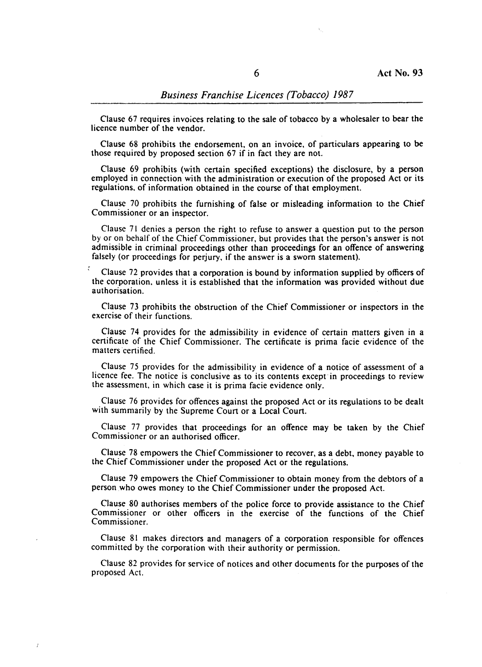# *Business Franchise Licences (Tobacco) 1987*

Clause 67 requires invoices relating to the sale of tobacco by a wholesaler to bear the licence number of the vendor.

Clause 68 prohibits the endorsement. on an invoice. of particulars appearing to be those required by proposed section 67 if in fact they are not.

Clause 69 prohibits (with certain specified exceptions) the disclosure, by a person employed in connection with the administration or execution of the proposed Act or its regulations. of information obtained in the course of that employment.

Clause 70 prohibits the furnishing of false or misleading information to the Chief Commissioner or an inspector.

Clause 71 denies a person the right to refuse to answer a question put to the person by or on behalf of the Chief Commissioner. but provides that the person's answer is not admissible in criminal proceedings other than proceedings for an offence of answering falsely (or proceedings for perjury. if the answer is a sworn statement).

Clause 72 provides that a corporation is bound by information supplied by officers of the corporation, unless it is established that the information was provided without due authorisation.

Clause 73 prohibits the obstruction of the Chief Commissioner or inspectors in the exercise of their functions.

Clause 74 provides for the admissibility in evidence of certain matters given in a certificate of the Chief Commissioner. The certificate is prima facie evidence of the matters certified.

Clause 75 provides for the admissibility in evidence of a notice of assessment of a licence fee. The notice is conclusive as to its contents except in proceedings to review the assessment. in which case it is prima facie evidence only.

Clause 76 provides for offences against the proposed Act or its regulations to be dealt with summarily by the Supreme Court or a Local Court.

Clause 77 provides that proceedings for an offence may be taken by the Chief Commissioner or an authorised officer.

Clause 78 empowers the Chief Commissioner to recover, as a debt. money payable to the Chief Commissioner under the proposed Act or the regulations.

Clause 79 empowers the Chief Commissioner to obtain money from the debtors of a person who owes money to the Chief Commissioner under the proposed Act.

Clause 80 authorises members of the police force to provide assistance to the Chief Commissioner or other officers in the exercise of the functions of the Chief Commissioner.

Clause 81 makes directors and managers of a corporation responsible for offences committed by the corporation with their authority or permission.

Clause 82 provides for service of notices and other documents for the purposes of the proposed Act.